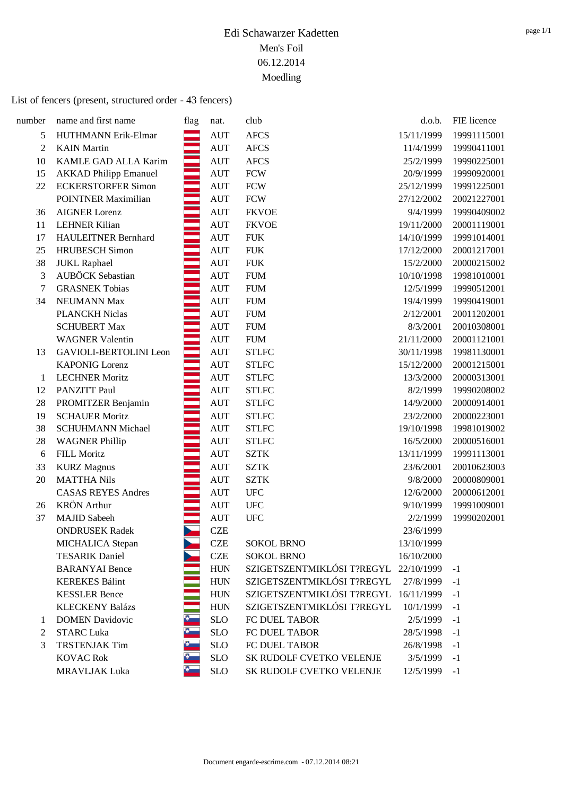#### List of fencers (present, structured order - 43 fencers)

| number | name and first name          | flag | nat.               | club                                  | d.o.b.     | FIE licence |
|--------|------------------------------|------|--------------------|---------------------------------------|------------|-------------|
| 5      | HUTHMANN Erik-Elmar          |      | <b>AUT</b>         | <b>AFCS</b>                           | 15/11/1999 | 19991115001 |
| 2      | <b>KAIN</b> Martin           |      | <b>AUT</b>         | <b>AFCS</b>                           | 11/4/1999  | 19990411001 |
| 10     | KAMLE GAD ALLA Karim         |      | <b>AUT</b>         | <b>AFCS</b>                           | 25/2/1999  | 19990225001 |
| 15     | <b>AKKAD Philipp Emanuel</b> |      | $\mathop{\rm AUT}$ | <b>FCW</b>                            | 20/9/1999  | 19990920001 |
| 22     | <b>ECKERSTORFER Simon</b>    |      | <b>AUT</b>         | <b>FCW</b>                            | 25/12/1999 | 19991225001 |
|        | <b>POINTNER Maximilian</b>   |      | <b>AUT</b>         | <b>FCW</b>                            | 27/12/2002 | 20021227001 |
| 36     | <b>AIGNER Lorenz</b>         |      | <b>AUT</b>         | <b>FKVOE</b>                          | 9/4/1999   | 19990409002 |
| 11     | <b>LEHNER Kilian</b>         |      | $\mathop{\rm AUT}$ | <b>FKVOE</b>                          | 19/11/2000 | 20001119001 |
| 17     | <b>HAULEITNER Bernhard</b>   |      | <b>AUT</b>         | <b>FUK</b>                            | 14/10/1999 | 19991014001 |
| 25     | <b>HRUBESCH</b> Simon        |      | <b>AUT</b>         | <b>FUK</b>                            | 17/12/2000 | 20001217001 |
| 38     | <b>JUKL Raphael</b>          |      | <b>AUT</b>         | <b>FUK</b>                            | 15/2/2000  | 20000215002 |
| 3      | AUBÖCK Sebastian             |      | $\mathop{\rm AUT}$ | <b>FUM</b>                            | 10/10/1998 | 19981010001 |
| 7      | <b>GRASNEK Tobias</b>        |      | <b>AUT</b>         | <b>FUM</b>                            | 12/5/1999  | 19990512001 |
| 34     | NEUMANN Max                  |      | <b>AUT</b>         | <b>FUM</b>                            | 19/4/1999  | 19990419001 |
|        | <b>PLANCKH Niclas</b>        |      | <b>AUT</b>         | <b>FUM</b>                            | 2/12/2001  | 20011202001 |
|        | <b>SCHUBERT Max</b>          |      | $\mathop{\rm AUT}$ | <b>FUM</b>                            | 8/3/2001   | 20010308001 |
|        | <b>WAGNER Valentin</b>       |      | <b>AUT</b>         | <b>FUM</b>                            | 21/11/2000 | 20001121001 |
| 13     | GAVIOLI-BERTOLINI Leon       |      | <b>AUT</b>         | <b>STLFC</b>                          | 30/11/1998 | 19981130001 |
|        | <b>KAPONIG Lorenz</b>        |      | <b>AUT</b>         | <b>STLFC</b>                          | 15/12/2000 | 20001215001 |
| 1      | <b>LECHNER Moritz</b>        |      | <b>AUT</b>         | <b>STLFC</b>                          | 13/3/2000  | 20000313001 |
| 12     | PANZITT Paul                 |      | <b>AUT</b>         | <b>STLFC</b>                          | 8/2/1999   | 19990208002 |
| 28     | PROMITZER Benjamin           |      | <b>AUT</b>         | <b>STLFC</b>                          | 14/9/2000  | 20000914001 |
| 19     | <b>SCHAUER Moritz</b>        |      | <b>AUT</b>         | <b>STLFC</b>                          | 23/2/2000  | 20000223001 |
| 38     | <b>SCHUHMANN Michael</b>     |      | <b>AUT</b>         | <b>STLFC</b>                          | 19/10/1998 | 19981019002 |
| 28     | <b>WAGNER Phillip</b>        |      | <b>AUT</b>         | <b>STLFC</b>                          | 16/5/2000  | 20000516001 |
| 6      | <b>FILL Moritz</b>           |      | <b>AUT</b>         | <b>SZTK</b>                           | 13/11/1999 | 19991113001 |
| 33     | <b>KURZ</b> Magnus           |      | <b>AUT</b>         | <b>SZTK</b>                           | 23/6/2001  | 20010623003 |
| 20     | <b>MATTHA Nils</b>           |      | <b>AUT</b>         | <b>SZTK</b>                           | 9/8/2000   | 20000809001 |
|        | <b>CASAS REYES Andres</b>    |      | <b>AUT</b>         | <b>UFC</b>                            | 12/6/2000  | 20000612001 |
| 26     | <b>KRÖN</b> Arthur           |      | <b>AUT</b>         | <b>UFC</b>                            | 9/10/1999  | 19991009001 |
| 37     | <b>MAJID</b> Sabeeh          |      | <b>AUT</b>         | <b>UFC</b>                            | 2/2/1999   | 19990202001 |
|        | <b>ONDRUSEK Radek</b>        |      | <b>CZE</b>         |                                       | 23/6/1999  |             |
|        | MICHALICA Stepan             |      | <b>CZE</b>         | <b>SOKOL BRNO</b>                     | 13/10/1999 |             |
|        | <b>TESARIK Daniel</b>        |      | <b>CZE</b>         | <b>SOKOL BRNO</b>                     | 16/10/2000 |             |
|        | <b>BARANYAI</b> Bence        |      | ${\rm HUN}$        | SZIGETSZENTMIKLÓSI T?REGYL 22/10/1999 |            | $-1$        |
|        | <b>KEREKES Bálint</b>        |      | <b>HUN</b>         | SZIGETSZENTMIKLÓSI T?REGYL            | 27/8/1999  | $-1$        |
|        | <b>KESSLER Bence</b>         |      | <b>HUN</b>         | SZIGETSZENTMIKLÓSI T?REGYL            | 16/11/1999 | $-1$        |
|        | <b>KLECKENY Balázs</b>       |      | <b>HUN</b>         | SZIGETSZENTMIKLÓSI T?REGYL            | 10/1/1999  | $-1$        |
| 1      | <b>DOMEN Davidovic</b>       |      | <b>SLO</b>         | FC DUEL TABOR                         | 2/5/1999   | $-1$        |
| 2      | <b>STARC Luka</b>            |      | <b>SLO</b>         | FC DUEL TABOR                         | 28/5/1998  | $-1$        |
| 3      | <b>TRSTENJAK Tim</b>         |      | $\rm SLO$          | FC DUEL TABOR                         | 26/8/1998  | $-1$        |
|        | <b>KOVAC Rok</b>             |      | $\rm SLO$          | SK RUDOLF CVETKO VELENJE              | 3/5/1999   | $-1$        |
|        | <b>MRAVLJAK Luka</b>         |      | <b>SLO</b>         | SK RUDOLF CVETKO VELENJE              | 12/5/1999  | $-1$        |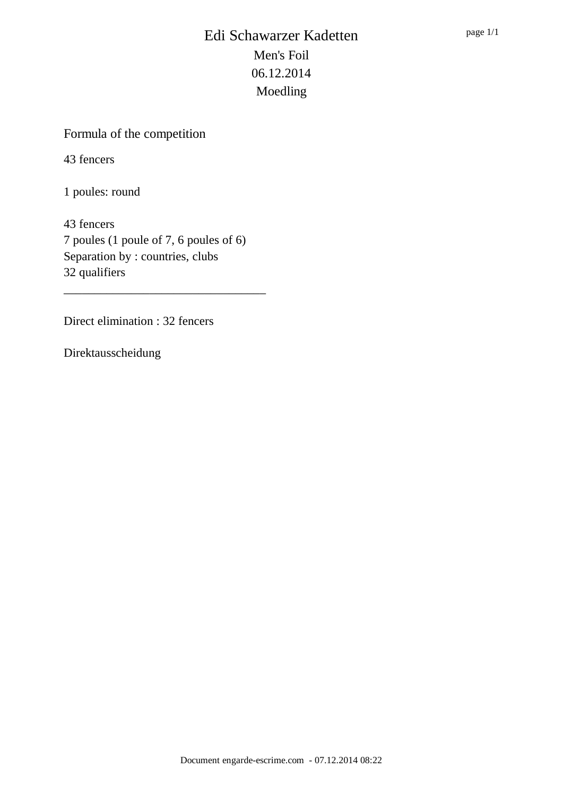## Formula of the competition

43 fencers

1 poules: round

43 fencers 7 poules (1 poule of 7, 6 poules of 6) Separation by : countries, clubs 32 qualifiers

\_\_\_\_\_\_\_\_\_\_\_\_\_\_\_\_\_\_\_\_\_\_\_\_\_\_\_\_\_\_\_\_\_

Direct elimination : 32 fencers

Direktausscheidung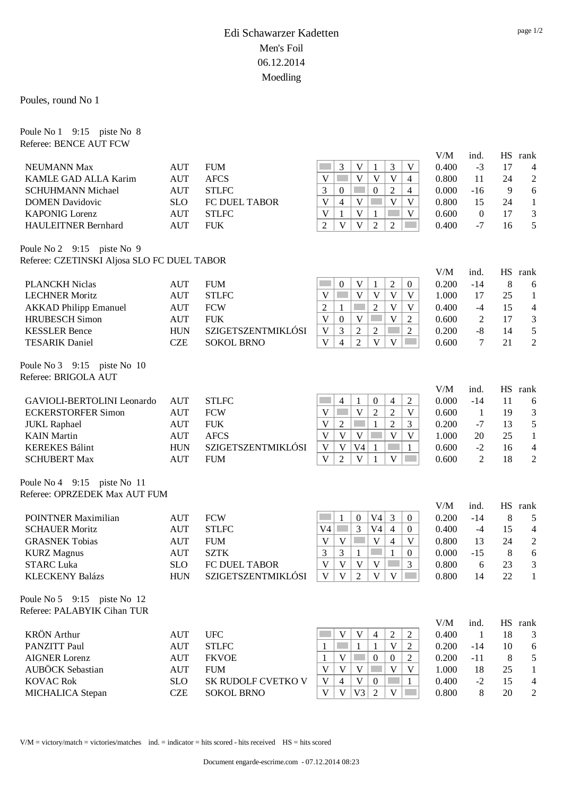Poules, round No 1

Poule No 1 9:15 piste No 8 Referee: BENCE AUT FCW

V/M ind. HS rank NEUMANN Max AUT FUM 3 V 1 3 V 0.400 -3 17 4 KAMLE GAD ALLA Karim AUT AFCS  $|V| = |V| |V| |V| |4 | 0.800 11 24 2$ SCHUHMANN Michael AUT STLFC 3 0 0 2 4 0.000 -16 9 6 DOMEN Davidovic SLO FC DUEL TABOR  $V | 4 | V | W | V | 0.800 15 24 1$ KAPONIG Lorenz  $\text{AUT}$  STLFC  $\vert V \vert 1 \vert V \vert 1 \vert W \vert 0.600 \quad 0 \quad 17 \quad 3$ HAULEITNER Bernhard AUT FUK 2 V V 2 2 0.400 -7 16 5 Poule No 2 9:15 piste No 9 Referee: CZETINSKI Aljosa SLO FC DUEL TABOR V/M ind. HS rank PLANCKH Niclas AUT FUM 0 V 1 2 0 0.200 -14 8 6 LECHNER Moritz AUT STLFC V V V V V 1.000 17 25 1 AKKAD Philipp Emanuel AUT FCW 2 1 2 V V 0.400 -4 15 4 HRUBESCH Simon AUT FUK  $|V|_0 |V| = |V|_2 |0.600 2 17 3$ KESSLER Bence HUN SZIGETSZENTMIKLÓSI  $|V|$  3  $|2|$  2  $|2|$  0.200 -8 14 5 TESARIK Daniel CZE SOKOL BRNO  $|V| \neq |Z| |V| \leq |V| \leq |0.600 \quad 7 \quad 21 \quad 2$ Poule No 3 9:15 piste No 10 Referee: BRIGOLA AUT V/M ind. HS rank GAVIOLI-BERTOLINI Leonardo AUT STLFC 4 1 0 4 2 0.000 -14 11 6 ECKERSTORFER Simon AUT FCW  $|V|| = |V| = |V| = 0.600 \t 1$  19 3 JUKL Raphael AUT FUK V 2 1 2 3 0.200 -7 13 5 KAIN Martin  $AUT \left( AFCS \right) \qquad \qquad \left| V | V | V | W | V | V | V | 1.000 \right.$  20 25 1 KEREKES Bálint HUN SZIGETSZENTMIKLÓSI V V V4 1 1 0.600 -2 16 4 SCHUBERT Max AUT FUM  $V 2 V 1 V 0 0.600 2 18 2$ Poule No 4 9:15 piste No 11 Referee: OPRZEDEK Max AUT FUM V/M ind. HS rank POINTNER Maximilian AUT FCW 1 0 V4 3 0 0.200 -14 8 5 SCHAUER Moritz AUT STLFC V4 3 V4 4 0 0.400 -4 15 4 GRASNEK Tobias AUT FUM  $|V|V| = |V|4 |V|$  0.800 13 24 2 KURZ Magnus AUT SZTK 3 3 1 1 0 0.000 -15 8 6 STARC Luka SLO FC DUEL TABOR  $|V|V|V|V| = 3$  0.800 6 23 3 KLECKENY Balázs HUN SZIGETSZENTMIKLÓSI  $|V|V|2|V|V| = 0.800$  14 22 1 Poule No 5 9:15 piste No 12 Referee: PALABYIK Cihan TUR V/M ind. HS rank KRÖN Arthur AUT UFC V V 4 2 2 0.400 1 18 3 PANZITT Paul AUT STLFC 1 1 1 V 2 0.200 -14 10 6 AIGNER Lorenz AUT FKVOE 1 V 0 0 2 0.200 -11 8 5 AUBÖCK Sebastian AUT FUM V V V V V 1.000 18 25 1 KOVAC Rok SLO SK RUDOLF CVETKO V  $|V|$  4  $|V|$  0  $|V|$  1 0.400 -2 15 4

 $V/M =$  victory/match = victories/matches ind. = indicator = hits scored - hits received  $HS =$  hits scored

MICHALICA Stepan CZE SOKOL BRNO  $|V| \vee |V3| \ge |V| = 0.800$  8 20 2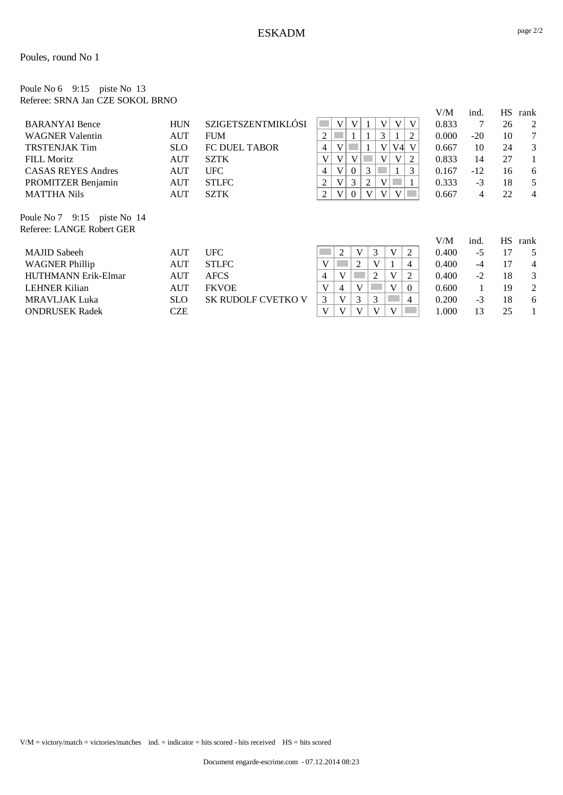#### Poule No 6 9:15 piste No 13 Referee: SRNA Jan CZE SOKOL BRNO

|                                                          |            |                      |                                                 | V/M   | ind.  | <b>HS</b> | rank           |
|----------------------------------------------------------|------------|----------------------|-------------------------------------------------|-------|-------|-----------|----------------|
| <b>BARANYAI</b> Bence                                    | <b>HUN</b> | SZIGETSZENTMIKLÓSI   | V<br>V<br>V<br>V<br>V                           | 0.833 | 7     | 26        | 2              |
| <b>WAGNER Valentin</b>                                   | <b>AUT</b> | <b>FUM</b>           | 2<br>3<br>1<br>2                                | 0.000 | $-20$ | 10        | 7              |
| <b>TRSTENJAK Tim</b>                                     | <b>SLO</b> | <b>FC DUEL TABOR</b> | V4<br>V<br>V<br>V<br>4                          | 0.667 | 10    | 24        | 3              |
| <b>FILL Moritz</b>                                       | <b>AUT</b> | <b>SZTK</b>          | V<br>V<br>V<br>V<br>V<br>2                      | 0.833 | 14    | 27        | 1              |
| <b>CASAS REYES Andres</b>                                | <b>AUT</b> | <b>UFC</b>           | V<br>3<br>3<br>$\mathbf{0}$<br>4                | 0.167 | $-12$ | 16        | 6              |
| PROMITZER Benjamin                                       | <b>AUT</b> | <b>STLFC</b>         | $\overline{2}$<br>V<br>3<br>$\overline{2}$<br>V | 0.333 | $-3$  | 18        | 5              |
| <b>MATTHA Nils</b>                                       | <b>AUT</b> | <b>SZTK</b>          | 2<br>V<br>V<br>V<br>V<br>$\Omega$               | 0.667 | 4     | 22        | $\overline{4}$ |
| Poule No 7 9:15 piste No 14<br>Referee: LANGE Robert GER |            |                      |                                                 | V/M   | ind.  | <b>HS</b> | rank           |
| <b>MAJID</b> Sabeeh                                      | AUT        | <b>UFC</b>           | $\overline{2}$<br>V<br>3<br>V<br>2              | 0.400 | $-5$  | 17        | 5              |
| <b>WAGNER Phillip</b>                                    | AUT        | <b>STLFC</b>         | $\overline{2}$<br>V<br>V<br>4                   | 0.400 | $-4$  | 17        | $\overline{4}$ |
| <b>HUTHMANN Erik-Elmar</b>                               | AUT        | <b>AFCS</b>          | 2<br>V<br>V<br>2<br>4                           | 0.400 | $-2$  | 18        | 3              |
| <b>LEHNER Kilian</b>                                     | AUT        | <b>FKVOE</b>         | V<br>V<br>V<br>4<br>$\Omega$                    | 0.600 |       | 19        | 2              |
| <b>MRAVLJAK Luka</b>                                     | <b>SLO</b> | SK RUDOLF CVETKO V   | 3<br>3<br>3<br>V<br>4                           | 0.200 | $-3$  | 18        | 6              |
| <b>ONDRUSEK Radek</b>                                    | CZE        |                      | V<br>V<br>V<br>V                                | 1.000 | 13    | 25        |                |
|                                                          |            |                      |                                                 |       |       |           |                |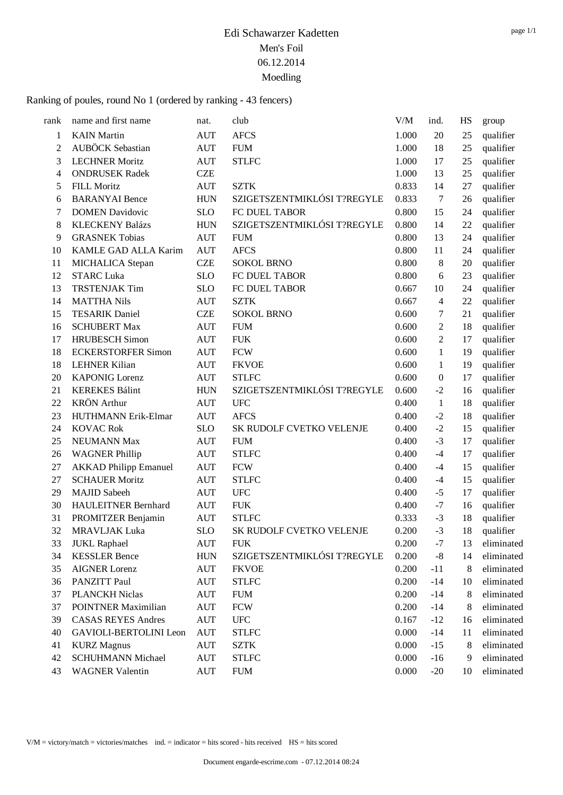Ranking of poules, round No 1 (ordered by ranking - 43 fencers)

| rank | name and first name          | nat.       | club                        | V/M   | ind.             | HS | group      |
|------|------------------------------|------------|-----------------------------|-------|------------------|----|------------|
| 1    | <b>KAIN</b> Martin           | <b>AUT</b> | <b>AFCS</b>                 | 1.000 | 20               | 25 | qualifier  |
| 2    | <b>AUBÖCK</b> Sebastian      | <b>AUT</b> | <b>FUM</b>                  | 1.000 | 18               | 25 | qualifier  |
| 3    | <b>LECHNER Moritz</b>        | <b>AUT</b> | <b>STLFC</b>                | 1.000 | 17               | 25 | qualifier  |
| 4    | <b>ONDRUSEK Radek</b>        | <b>CZE</b> |                             | 1.000 | 13               | 25 | qualifier  |
| 5    | <b>FILL Moritz</b>           | <b>AUT</b> | <b>SZTK</b>                 | 0.833 | 14               | 27 | qualifier  |
| 6    | <b>BARANYAI</b> Bence        | <b>HUN</b> | SZIGETSZENTMIKLÓSI T?REGYLE | 0.833 | 7                | 26 | qualifier  |
| 7    | <b>DOMEN Davidovic</b>       | <b>SLO</b> | FC DUEL TABOR               | 0.800 | 15               | 24 | qualifier  |
| 8    | <b>KLECKENY Balázs</b>       | <b>HUN</b> | SZIGETSZENTMIKLÓSI T?REGYLE | 0.800 | 14               | 22 | qualifier  |
| 9    | <b>GRASNEK Tobias</b>        | <b>AUT</b> | <b>FUM</b>                  | 0.800 | 13               | 24 | qualifier  |
| 10   | KAMLE GAD ALLA Karim         | <b>AUT</b> | <b>AFCS</b>                 | 0.800 | 11               | 24 | qualifier  |
| 11   | MICHALICA Stepan             | <b>CZE</b> | <b>SOKOL BRNO</b>           | 0.800 | $8\,$            | 20 | qualifier  |
| 12   | <b>STARC Luka</b>            | <b>SLO</b> | FC DUEL TABOR               | 0.800 | 6                | 23 | qualifier  |
| 13   | <b>TRSTENJAK Tim</b>         | <b>SLO</b> | FC DUEL TABOR               | 0.667 | 10               | 24 | qualifier  |
| 14   | <b>MATTHA Nils</b>           | <b>AUT</b> | <b>SZTK</b>                 | 0.667 | $\overline{4}$   | 22 | qualifier  |
| 15   | <b>TESARIK Daniel</b>        | <b>CZE</b> | <b>SOKOL BRNO</b>           | 0.600 | 7                | 21 | qualifier  |
| 16   | <b>SCHUBERT Max</b>          | <b>AUT</b> | <b>FUM</b>                  | 0.600 | 2                | 18 | qualifier  |
| 17   | <b>HRUBESCH Simon</b>        | <b>AUT</b> | <b>FUK</b>                  | 0.600 | 2                | 17 | qualifier  |
| 18   | <b>ECKERSTORFER Simon</b>    | <b>AUT</b> | <b>FCW</b>                  | 0.600 | $\mathbf{1}$     | 19 | qualifier  |
| 18   | <b>LEHNER Kilian</b>         | <b>AUT</b> | <b>FKVOE</b>                | 0.600 | 1                | 19 | qualifier  |
| 20   | <b>KAPONIG Lorenz</b>        | <b>AUT</b> | <b>STLFC</b>                | 0.600 | $\boldsymbol{0}$ | 17 | qualifier  |
| 21   | <b>KEREKES Bálint</b>        | <b>HUN</b> | SZIGETSZENTMIKLÓSI T?REGYLE | 0.600 | $-2$             | 16 | qualifier  |
| 22   | <b>KRÖN</b> Arthur           | <b>AUT</b> | <b>UFC</b>                  | 0.400 | $\mathbf{1}$     | 18 | qualifier  |
| 23   | HUTHMANN Erik-Elmar          | <b>AUT</b> | <b>AFCS</b>                 | 0.400 | $-2$             | 18 | qualifier  |
| 24   | <b>KOVAC Rok</b>             | <b>SLO</b> | SK RUDOLF CVETKO VELENJE    | 0.400 | $-2$             | 15 | qualifier  |
| 25   | NEUMANN Max                  | <b>AUT</b> | <b>FUM</b>                  | 0.400 | $-3$             | 17 | qualifier  |
| 26   | <b>WAGNER Phillip</b>        | <b>AUT</b> | <b>STLFC</b>                | 0.400 | $-4$             | 17 | qualifier  |
| 27   | <b>AKKAD Philipp Emanuel</b> | <b>AUT</b> | <b>FCW</b>                  | 0.400 | $-4$             | 15 | qualifier  |
| 27   | <b>SCHAUER Moritz</b>        | <b>AUT</b> | <b>STLFC</b>                | 0.400 | $-4$             | 15 | qualifier  |
| 29   | <b>MAJID Sabeeh</b>          | <b>AUT</b> | <b>UFC</b>                  | 0.400 | $-5$             | 17 | qualifier  |
| 30   | HAULEITNER Bernhard          | <b>AUT</b> | <b>FUK</b>                  | 0.400 | $-7$             | 16 | qualifier  |
| 31   | PROMITZER Benjamin           | <b>AUT</b> | <b>STLFC</b>                | 0.333 | $-3$             | 18 | qualifier  |
| 32   | <b>MRAVLJAK Luka</b>         | <b>SLO</b> | SK RUDOLF CVETKO VELENJE    | 0.200 | $-3$             | 18 | qualifier  |
| 33   | <b>JUKL Raphael</b>          | AUT        | <b>FUK</b>                  | 0.200 | $-7$             | 13 | eliminated |
| 34   | <b>KESSLER Bence</b>         | <b>HUN</b> | SZIGETSZENTMIKLÓSI T?REGYLE | 0.200 | $-8$             | 14 | eliminated |
| 35   | <b>AIGNER Lorenz</b>         | <b>AUT</b> | <b>FKVOE</b>                | 0.200 | $-11$            | 8  | eliminated |
| 36   | PANZITT Paul                 | AUT        | <b>STLFC</b>                | 0.200 | $-14$            | 10 | eliminated |
| 37   | <b>PLANCKH Niclas</b>        | AUT        | <b>FUM</b>                  | 0.200 | $-14$            | 8  | eliminated |
| 37   | POINTNER Maximilian          | <b>AUT</b> | <b>FCW</b>                  | 0.200 | $-14$            | 8  | eliminated |
| 39   | <b>CASAS REYES Andres</b>    | <b>AUT</b> | <b>UFC</b>                  | 0.167 | $-12$            | 16 | eliminated |
| 40   | GAVIOLI-BERTOLINI Leon       | <b>AUT</b> | <b>STLFC</b>                | 0.000 | $-14$            | 11 | eliminated |
| 41   | <b>KURZ</b> Magnus           | AUT        | <b>SZTK</b>                 | 0.000 | $-15$            | 8  | eliminated |
| 42   | <b>SCHUHMANN Michael</b>     | <b>AUT</b> | <b>STLFC</b>                | 0.000 | $-16$            | 9  | eliminated |
| 43   | <b>WAGNER Valentin</b>       | <b>AUT</b> | <b>FUM</b>                  | 0.000 | $-20$            | 10 | eliminated |
|      |                              |            |                             |       |                  |    |            |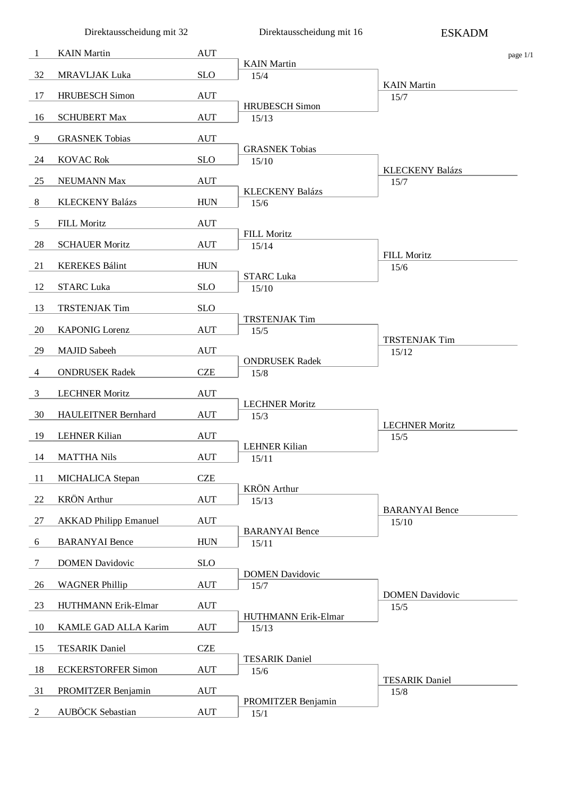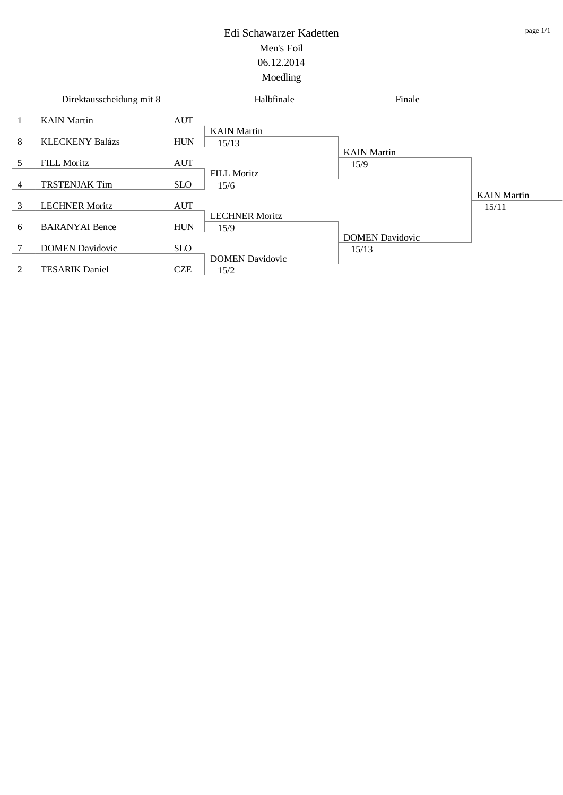|    | Direktausscheidung mit 8 |            | Halbfinale                 | Finale                          |                    |
|----|--------------------------|------------|----------------------------|---------------------------------|--------------------|
| -1 | <b>KAIN</b> Martin       | <b>AUT</b> |                            |                                 |                    |
|    |                          |            | <b>KAIN</b> Martin         |                                 |                    |
| 8  | <b>KLECKENY Balázs</b>   | <b>HUN</b> | 15/13                      |                                 |                    |
|    |                          |            |                            | <b>KAIN</b> Martin              |                    |
| 5  | <b>FILL Moritz</b>       | <b>AUT</b> |                            | 15/9                            |                    |
| 4  | <b>TRSTENJAK Tim</b>     | <b>SLO</b> | <b>FILL Moritz</b><br>15/6 |                                 |                    |
|    |                          |            |                            |                                 | <b>KAIN</b> Martin |
| 3  | <b>LECHNER Moritz</b>    | <b>AUT</b> |                            |                                 | 15/11              |
|    |                          |            | <b>LECHNER Moritz</b>      |                                 |                    |
| 6  | <b>BARANYAI</b> Bence    | <b>HUN</b> | 15/9                       |                                 |                    |
| 7  | <b>DOMEN Davidovic</b>   | <b>SLO</b> |                            | <b>DOMEN Davidovic</b><br>15/13 |                    |
|    |                          |            | <b>DOMEN Davidovic</b>     |                                 |                    |
| 2  | <b>TESARIK Daniel</b>    | <b>CZE</b> | 15/2                       |                                 |                    |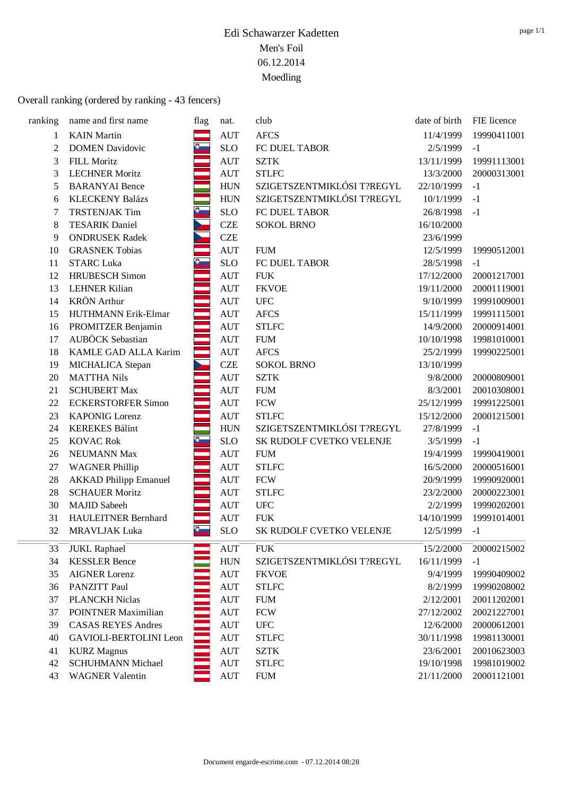#### Overall ranking (ordered by ranking - 43 fencers)

| ranking        | name and first name          | flag          | nat.               | club                       | date of birth | FIE licence |
|----------------|------------------------------|---------------|--------------------|----------------------------|---------------|-------------|
| 1              | <b>KAIN</b> Martin           |               | <b>AUT</b>         | <b>AFCS</b>                | 11/4/1999     | 19990411001 |
| $\overline{2}$ | <b>DOMEN Davidovic</b>       | $\bullet$     | <b>SLO</b>         | FC DUEL TABOR              | 2/5/1999      | $-1$        |
| 3              | <b>FILL Moritz</b>           |               | <b>AUT</b>         | <b>SZTK</b>                | 13/11/1999    | 19991113001 |
| 3              | <b>LECHNER Moritz</b>        |               | <b>AUT</b>         | <b>STLFC</b>               | 13/3/2000     | 20000313001 |
| 5              | <b>BARANYAI</b> Bence        |               | <b>HUN</b>         | SZIGETSZENTMIKLÓSI T?REGYL | 22/10/1999    | $-1$        |
| 6              | <b>KLECKENY Balázs</b>       |               | <b>HUN</b>         | SZIGETSZENTMIKLÓSI T?REGYL | 10/1/1999     | $-1$        |
| 7              | <b>TRSTENJAK Tim</b>         | $\sqrt{3}$    | <b>SLO</b>         | FC DUEL TABOR              | 26/8/1998     | $-1$        |
| $8\,$          | <b>TESARIK Daniel</b>        |               | <b>CZE</b>         | <b>SOKOL BRNO</b>          | 16/10/2000    |             |
| 9              | <b>ONDRUSEK Radek</b>        |               | <b>CZE</b>         |                            | 23/6/1999     |             |
| 10             | <b>GRASNEK Tobias</b>        |               | <b>AUT</b>         | <b>FUM</b>                 | 12/5/1999     | 19990512001 |
| 11             | <b>STARC Luka</b>            | $\frac{1}{2}$ | <b>SLO</b>         | FC DUEL TABOR              | 28/5/1998     | $-1$        |
| 12             | <b>HRUBESCH</b> Simon        |               | $\mathop{\rm AUT}$ | <b>FUK</b>                 | 17/12/2000    | 20001217001 |
| 13             | <b>LEHNER Kilian</b>         |               | <b>AUT</b>         | <b>FKVOE</b>               | 19/11/2000    | 20001119001 |
| 14             | <b>KRÖN</b> Arthur           |               | <b>AUT</b>         | <b>UFC</b>                 | 9/10/1999     | 19991009001 |
| 15             | HUTHMANN Erik-Elmar          |               | <b>AUT</b>         | <b>AFCS</b>                | 15/11/1999    | 19991115001 |
| 16             | PROMITZER Benjamin           |               | <b>AUT</b>         | <b>STLFC</b>               | 14/9/2000     | 20000914001 |
| 17             | <b>AUBÖCK</b> Sebastian      |               | <b>AUT</b>         | <b>FUM</b>                 | 10/10/1998    | 19981010001 |
| 18             | KAMLE GAD ALLA Karim         |               | <b>AUT</b>         | <b>AFCS</b>                | 25/2/1999     | 19990225001 |
| 19             | MICHALICA Stepan             |               | <b>CZE</b>         | <b>SOKOL BRNO</b>          | 13/10/1999    |             |
| 20             | <b>MATTHA Nils</b>           |               | $\mathop{\rm AUT}$ | <b>SZTK</b>                | 9/8/2000      | 20000809001 |
| 21             | <b>SCHUBERT Max</b>          |               | <b>AUT</b>         | <b>FUM</b>                 | 8/3/2001      | 20010308001 |
| 22             | <b>ECKERSTORFER Simon</b>    |               | <b>AUT</b>         | <b>FCW</b>                 | 25/12/1999    | 19991225001 |
| 23             | <b>KAPONIG Lorenz</b>        |               | <b>AUT</b>         | <b>STLFC</b>               | 15/12/2000    | 20001215001 |
| 24             | <b>KEREKES Bálint</b>        |               | <b>HUN</b>         | SZIGETSZENTMIKLÓSI T?REGYL | 27/8/1999     | $-1$        |
| 25             | <b>KOVAC Rok</b>             |               | <b>SLO</b>         | SK RUDOLF CVETKO VELENJE   | 3/5/1999      | $-1$        |
| 26             | NEUMANN Max                  |               | <b>AUT</b>         | <b>FUM</b>                 | 19/4/1999     | 19990419001 |
| 27             | <b>WAGNER Phillip</b>        |               | $\mathop{\rm AUT}$ | <b>STLFC</b>               | 16/5/2000     | 20000516001 |
| 28             | <b>AKKAD Philipp Emanuel</b> |               | <b>AUT</b>         | <b>FCW</b>                 | 20/9/1999     | 19990920001 |
| 28             | <b>SCHAUER Moritz</b>        |               | <b>AUT</b>         | <b>STLFC</b>               | 23/2/2000     | 20000223001 |
| 30             | <b>MAJID Sabeeh</b>          |               | <b>AUT</b>         | <b>UFC</b>                 | 2/2/1999      | 19990202001 |
| 31             | HAULEITNER Bernhard          |               | <b>AUT</b>         | <b>FUK</b>                 | 14/10/1999    | 19991014001 |
| 32             | <b>MRAVLJAK Luka</b>         | Đ,            | <b>SLO</b>         | SK RUDOLF CVETKO VELENJE   | 12/5/1999     | $-1$        |
| 33             | <b>JUKL Raphael</b>          |               | <b>AUT</b>         | ${\rm FUK}$                | 15/2/2000     | 20000215002 |
| 34             | <b>KESSLER Bence</b>         |               | ${\rm HUN}$        | SZIGETSZENTMIKLÓSI T?REGYL | 16/11/1999    | $-1$        |
| 35             | <b>AIGNER Lorenz</b>         |               | $\mathop{\rm AUT}$ | <b>FKVOE</b>               | 9/4/1999      | 19990409002 |
| 36             | PANZITT Paul                 |               | <b>AUT</b>         | <b>STLFC</b>               | 8/2/1999      | 19990208002 |
| 37             | <b>PLANCKH Niclas</b>        |               | <b>AUT</b>         | <b>FUM</b>                 | 2/12/2001     | 20011202001 |
| 37             | <b>POINTNER Maximilian</b>   |               | <b>AUT</b>         | <b>FCW</b>                 | 27/12/2002    | 20021227001 |
| 39             | <b>CASAS REYES Andres</b>    |               | <b>AUT</b>         | <b>UFC</b>                 | 12/6/2000     | 20000612001 |
| 40             | GAVIOLI-BERTOLINI Leon       |               | <b>AUT</b>         | <b>STLFC</b>               | 30/11/1998    | 19981130001 |
| 41             | <b>KURZ</b> Magnus           |               | <b>AUT</b>         | <b>SZTK</b>                | 23/6/2001     | 20010623003 |
| 42             | <b>SCHUHMANN Michael</b>     |               | <b>AUT</b>         | <b>STLFC</b>               | 19/10/1998    | 19981019002 |
| 43             | <b>WAGNER Valentin</b>       |               | $\mathop{\rm AUT}$ | <b>FUM</b>                 | 21/11/2000    | 20001121001 |